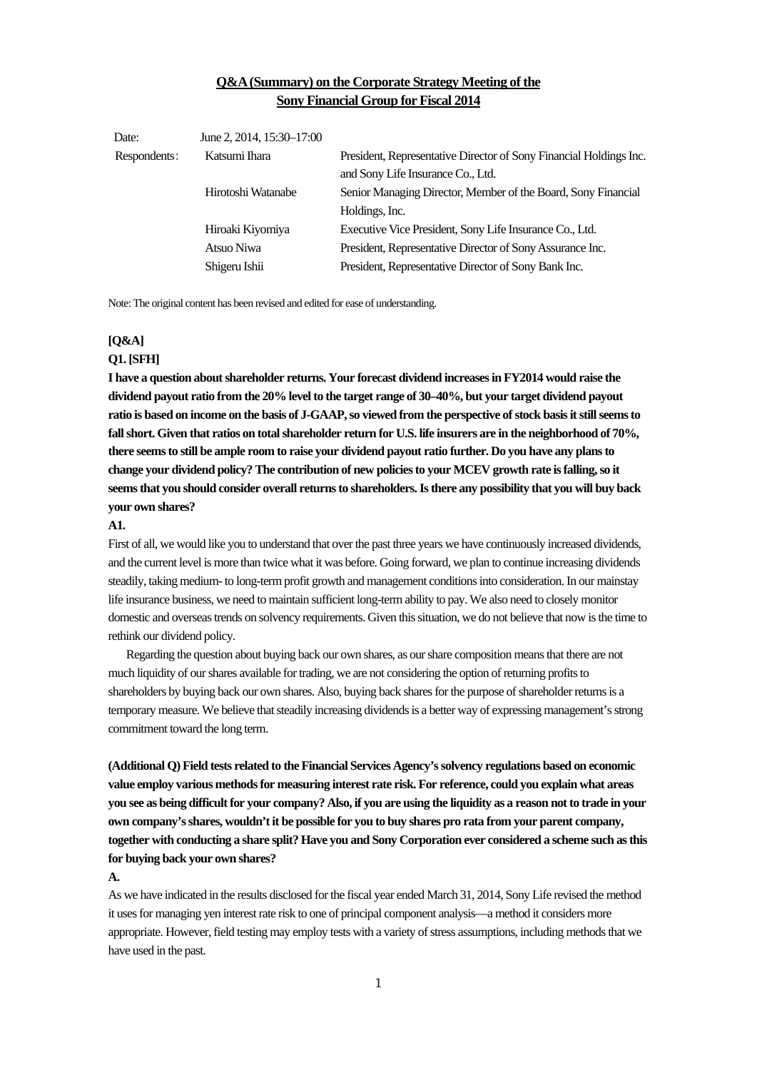## **Q&A (Summary) on the Corporate Strategy Meeting of the Sony Financial Group for Fiscal 2014**

| Date:        | June 2, 2014, 15:30–17:00 |                                                                    |
|--------------|---------------------------|--------------------------------------------------------------------|
| Respondents: | Katsumi Ihara             | President, Representative Director of Sony Financial Holdings Inc. |
|              |                           | and Sony Life Insurance Co., Ltd.                                  |
|              | Hirotoshi Watanabe        | Senior Managing Director, Member of the Board, Sony Financial      |
|              |                           | Holdings, Inc.                                                     |
|              | Hiroaki Kiyomiya          | Executive Vice President, Sony Life Insurance Co., Ltd.            |
|              | Atsuo Niwa                | President, Representative Director of Sony Assurance Inc.          |
|              | Shigeru Ishii             | President, Representative Director of Sony Bank Inc.               |

Note: The original content has been revised and edited for ease of understanding.

### **[Q&A]**

### **Q1. [SFH]**

**I have a question about shareholder returns. Your forecast dividend increases in FY2014 would raise the dividend payout ratio from the 20% level to the target range of 30–40%, but your target dividend payout ratio is based on income on the basis of J-GAAP, so viewed from the perspective of stock basis it still seems to fall short. Given that ratios on total shareholder return for U.S. life insurers are in the neighborhood of 70%, there seems to still be ample room to raise your dividend payout ratio further. Do you have any plans to change your dividend policy? The contribution of new policies to your MCEV growth rate is falling, so it seems that you should consider overall returns to shareholders. Is there any possibility that you will buy back your own shares?** 

#### **A1.**

First of all, we would like you to understand that over the past three years we have continuously increased dividends, and the current level is more than twice what it was before. Going forward, we plan to continue increasing dividends steadily, taking medium- to long-term profit growth and management conditions into consideration. In our mainstay life insurance business, we need to maintain sufficient long-term ability to pay. We also need to closely monitor domestic and overseas trends on solvency requirements. Given this situation, we do not believe that now is the time to rethink our dividend policy.

 Regarding the question about buying back our own shares, as our share composition means that there are not much liquidity of our shares available for trading, we are not considering the option of returning profits to shareholders by buying back our own shares. Also, buying back shares for the purpose of shareholder returns is a temporary measure. We believe that steadily increasing dividends is a better way of expressing management's strong commitment toward the long term.

**(Additional Q) Field tests related to the Financial Services Agency's solvency regulations based on economic value employ various methods for measuring interest rate risk. For reference, could you explain what areas you see as being difficult for your company? Also, if you are using the liquidity as a reason not to trade in your own company's shares, wouldn't it be possible for you to buy shares pro rata from your parent company, together with conducting a share split? Have you and Sony Corporation ever considered a scheme such as this for buying back your own shares?** 

#### **A.**

As we have indicated in the results disclosed for the fiscal year ended March 31, 2014, Sony Life revised the method it uses for managing yen interest rate risk to one of principal component analysis—a method it considers more appropriate. However, field testing may employ tests with a variety of stress assumptions, including methods that we have used in the past.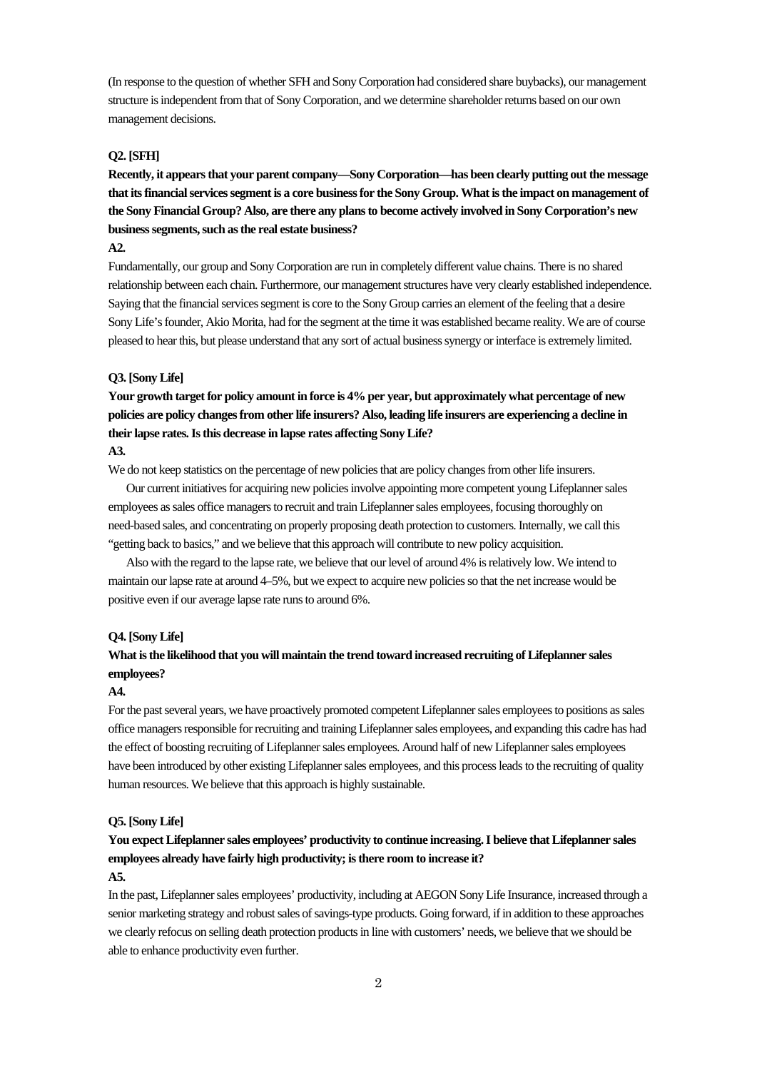(In response to the question of whether SFH and Sony Corporation had considered share buybacks), our management structure is independent from that of Sony Corporation, and we determine shareholder returns based on our own management decisions.

#### **Q2. [SFH]**

**Recently, it appears that your parent company—Sony Corporation—has been clearly putting out the message that its financial services segment is a core business for the Sony Group. What is the impact on management of the Sony Financial Group? Also, are there any plans to become actively involved in Sony Corporation's new business segments, such as the real estate business?** 

## **A2.**

Fundamentally, our group and Sony Corporation are run in completely different value chains. There is no shared relationship between each chain. Furthermore, our management structures have very clearly established independence. Saying that the financial services segment is core to the Sony Group carries an element of the feeling that a desire Sony Life's founder, Akio Morita, had for the segment at the time it was established became reality. We are of course pleased to hear this, but please understand that any sort of actual business synergy or interface is extremely limited.

### **Q3. [Sony Life]**

# **Your growth target for policy amount in force is 4% per year, but approximately what percentage of new policies are policy changes from other life insurers? Also, leading life insurers are experiencing a decline in their lapse rates. Is this decrease in lapse rates affecting Sony Life?**

## **A3.**

We do not keep statistics on the percentage of new policies that are policy changes from other life insurers.

 Our current initiatives for acquiring new policies involve appointing more competent young Lifeplanner sales employees as sales office managers to recruit and train Lifeplanner sales employees, focusing thoroughly on need-based sales, and concentrating on properly proposing death protection to customers. Internally, we call this "getting back to basics," and we believe that this approach will contribute to new policy acquisition.

 Also with the regard to the lapse rate, we believe that our level of around 4% is relatively low. We intend to maintain our lapse rate at around 4–5%, but we expect to acquire new policies so that the net increase would be positive even if our average lapse rate runs to around 6%.

### **Q4. [Sony Life]**

## **What is the likelihood that you will maintain the trend toward increased recruiting of Lifeplanner sales employees?**

### **A4.**

For the past several years, we have proactively promoted competent Lifeplanner sales employees to positions as sales office managers responsible for recruiting and training Lifeplanner sales employees, and expanding this cadre has had the effect of boosting recruiting of Lifeplanner sales employees. Around half of new Lifeplanner sales employees have been introduced by other existing Lifeplanner sales employees, and this process leads to the recruiting of quality human resources. We believe that this approach is highly sustainable.

### **Q5. [Sony Life]**

## **You expect Lifeplanner sales employees' productivity to continue increasing. I believe that Lifeplanner sales employees already have fairly high productivity; is there room to increase it?**

### **A5.**

In the past, Lifeplanner sales employees' productivity, including at AEGON Sony Life Insurance, increased through a senior marketing strategy and robust sales of savings-type products. Going forward, if in addition to these approaches we clearly refocus on selling death protection products in line with customers' needs, we believe that we should be able to enhance productivity even further.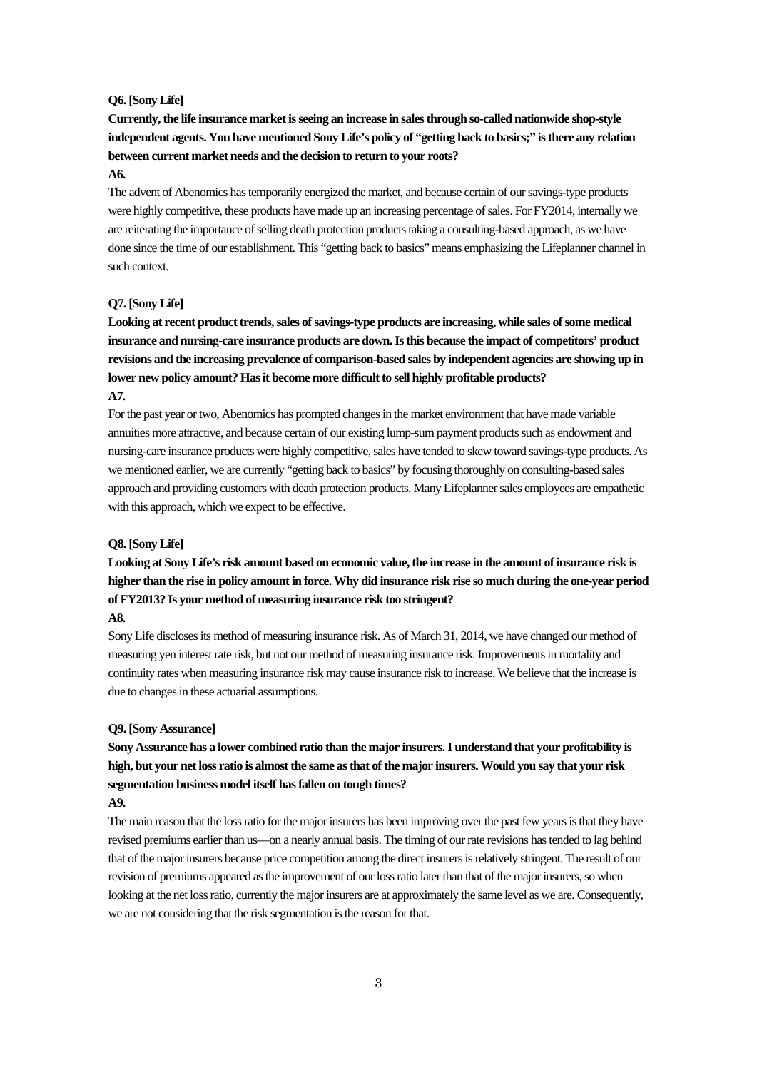## **Q6. [Sony Life]**

**Currently, the life insurance market is seeing an increase in sales through so-called nationwide shop-style independent agents. You have mentioned Sony Life's policy of "getting back to basics;" is there any relation between current market needs and the decision to return to your roots?** 

### **A6.**

The advent of Abenomics has temporarily energized the market, and because certain of our savings-type products were highly competitive, these products have made up an increasing percentage of sales. For FY2014, internally we are reiterating the importance of selling death protection products taking a consulting-based approach, as we have done since the time of our establishment. This "getting back to basics" means emphasizing the Lifeplanner channel in such context.

### **Q7. [Sony Life]**

**Looking at recent product trends, sales of savings-type products are increasing, while sales of some medical insurance and nursing-care insurance products are down. Is this because the impact of competitors' product revisions and the increasing prevalence of comparison-based sales by independent agencies are showing up in lower new policy amount? Has it become more difficult to sell highly profitable products? A7.** 

For the past year or two, Abenomics has prompted changes in the market environment that have made variable annuities more attractive, and because certain of our existing lump-sum payment products such as endowment and nursing-care insurance products were highly competitive, sales have tended to skew toward savings-type products. As we mentioned earlier, we are currently "getting back to basics" by focusing thoroughly on consulting-based sales approach and providing customers with death protection products. Many Lifeplanner sales employees are empathetic with this approach, which we expect to be effective.

### **Q8. [Sony Life]**

# **Looking at Sony Life's risk amount based on economic value, the increase in the amount of insurance risk is higher than the rise in policy amount in force. Why did insurance risk rise so much during the one-year period of FY2013? Is your method of measuring insurance risk too stringent?**

## **A8.**

Sony Life discloses its method of measuring insurance risk. As of March 31, 2014, we have changed our method of measuring yen interest rate risk, but not our method of measuring insurance risk. Improvements in mortality and continuity rates when measuring insurance risk may cause insurance risk to increase. We believe that the increase is due to changes in these actuarial assumptions.

#### **Q9. [Sony Assurance]**

**Sony Assurance has a lower combined ratio than the major insurers. I understand that your profitability is high, but your net loss ratio is almost the same as that of the major insurers. Would you say that your risk segmentation business model itself has fallen on tough times?** 

## **A9.**

The main reason that the loss ratio for the major insurers has been improving over the past few years is that they have revised premiums earlier than us—on a nearly annual basis. The timing of our rate revisions has tended to lag behind that of the major insurers because price competition among the direct insurers is relatively stringent. The result of our revision of premiums appeared as the improvement of our loss ratio later than that of the major insurers, so when looking at the net loss ratio, currently the major insurers are at approximately the same level as we are. Consequently, we are not considering that the risk segmentation is the reason for that.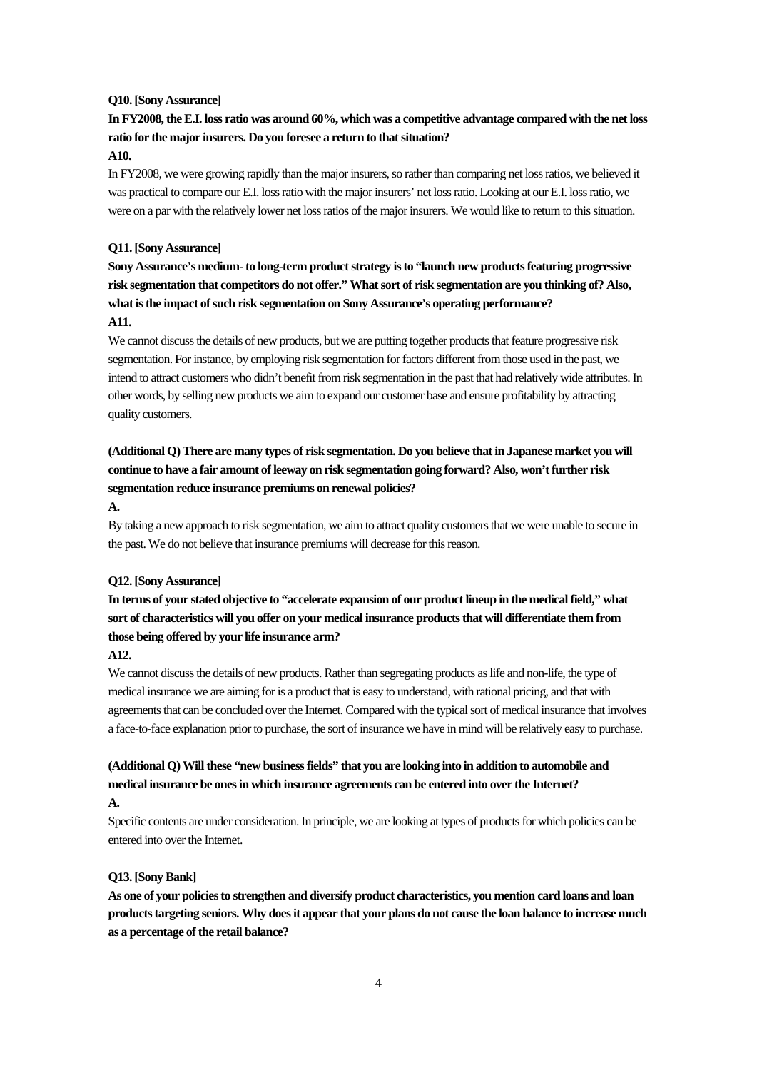### **Q10. [Sony Assurance]**

# **In FY2008, the E.I. loss ratio was around 60%, which was a competitive advantage compared with the net loss ratio for the major insurers. Do you foresee a return to that situation?**

## **A10.**

In FY2008, we were growing rapidly than the major insurers, so rather than comparing net loss ratios, we believed it was practical to compare our E.I. loss ratio with the major insurers' net loss ratio. Looking at our E.I. loss ratio, we were on a par with the relatively lower net loss ratios of the major insurers. We would like to return to this situation.

### **Q11. [Sony Assurance]**

**Sony Assurance's medium- to long-term product strategy is to "launch new products featuring progressive risk segmentation that competitors do not offer." What sort of risk segmentation are you thinking of? Also, what is the impact of such risk segmentation on Sony Assurance's operating performance?** 

## **A11.**

We cannot discuss the details of new products, but we are putting together products that feature progressive risk segmentation. For instance, by employing risk segmentation for factors different from those used in the past, we intend to attract customers who didn't benefit from risk segmentation in the past that had relatively wide attributes. In other words, by selling new products we aim to expand our customer base and ensure profitability by attracting quality customers.

# **(Additional Q) There are many types of risk segmentation. Do you believe that in Japanese market you will continue to have a fair amount of leeway on risk segmentation going forward? Also, won't further risk segmentation reduce insurance premiums on renewal policies?**

### **A.**

By taking a new approach to risk segmentation, we aim to attract quality customers that we were unable to secure in the past. We do not believe that insurance premiums will decrease for this reason.

### **Q12. [Sony Assurance]**

## **In terms of your stated objective to "accelerate expansion of our product lineup in the medical field," what sort of characteristics will you offer on your medical insurance products that will differentiate them from those being offered by your life insurance arm?**

### **A12.**

We cannot discuss the details of new products. Rather than segregating products as life and non-life, the type of medical insurance we are aiming for is a product that is easy to understand, with rational pricing, and that with agreements that can be concluded over the Internet. Compared with the typical sort of medical insurance that involves a face-to-face explanation prior to purchase, the sort of insurance we have in mind will be relatively easy to purchase.

# **(Additional Q) Will these "new business fields" that you are looking into in addition to automobile and medical insurance be ones in which insurance agreements can be entered into over the Internet?**

## **A.**

Specific contents are under consideration. In principle, we are looking at types of products for which policies can be entered into over the Internet.

### **Q13. [Sony Bank]**

**As one of your policies to strengthen and diversify product characteristics, you mention card loans and loan products targeting seniors. Why does it appear that your plans do not cause the loan balance to increase much as a percentage of the retail balance?**